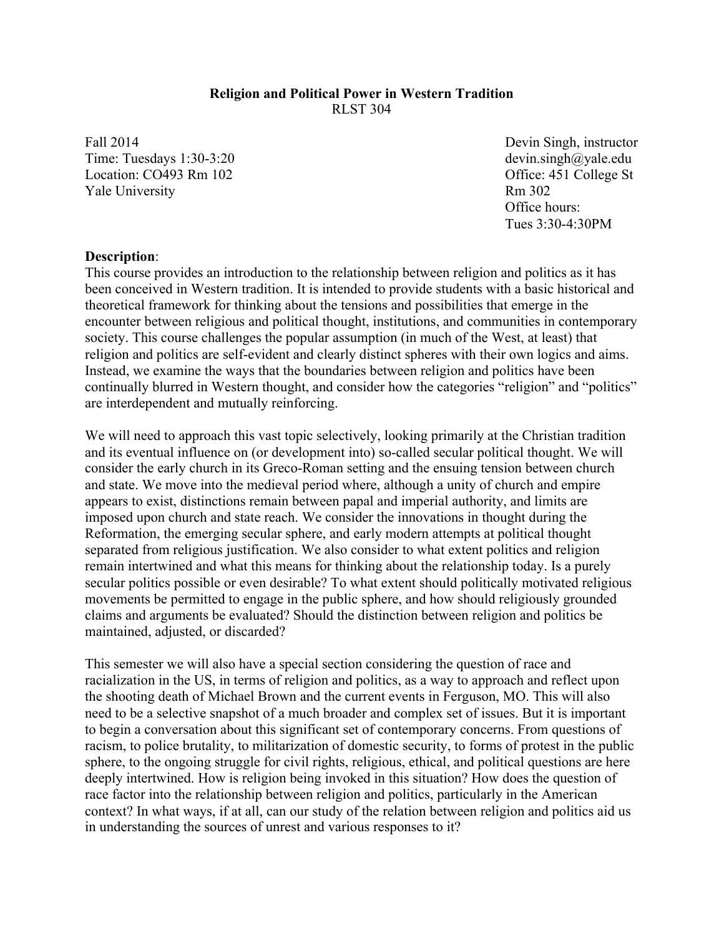### **Religion and Political Power in Western Tradition** RLST 304

Fall 2014 Time: Tuesdays 1:30-3:20 Location: CO493 Rm 102 Yale University

Devin Singh, instructor devin.singh@yale.edu Office: 451 College St Rm 302 Office hours: Tues 3:30-4:30PM

#### **Description**:

This course provides an introduction to the relationship between religion and politics as it has been conceived in Western tradition. It is intended to provide students with a basic historical and theoretical framework for thinking about the tensions and possibilities that emerge in the encounter between religious and political thought, institutions, and communities in contemporary society. This course challenges the popular assumption (in much of the West, at least) that religion and politics are self-evident and clearly distinct spheres with their own logics and aims. Instead, we examine the ways that the boundaries between religion and politics have been continually blurred in Western thought, and consider how the categories "religion" and "politics" are interdependent and mutually reinforcing.

We will need to approach this vast topic selectively, looking primarily at the Christian tradition and its eventual influence on (or development into) so-called secular political thought. We will consider the early church in its Greco-Roman setting and the ensuing tension between church and state. We move into the medieval period where, although a unity of church and empire appears to exist, distinctions remain between papal and imperial authority, and limits are imposed upon church and state reach. We consider the innovations in thought during the Reformation, the emerging secular sphere, and early modern attempts at political thought separated from religious justification. We also consider to what extent politics and religion remain intertwined and what this means for thinking about the relationship today. Is a purely secular politics possible or even desirable? To what extent should politically motivated religious movements be permitted to engage in the public sphere, and how should religiously grounded claims and arguments be evaluated? Should the distinction between religion and politics be maintained, adjusted, or discarded?

This semester we will also have a special section considering the question of race and racialization in the US, in terms of religion and politics, as a way to approach and reflect upon the shooting death of Michael Brown and the current events in Ferguson, MO. This will also need to be a selective snapshot of a much broader and complex set of issues. But it is important to begin a conversation about this significant set of contemporary concerns. From questions of racism, to police brutality, to militarization of domestic security, to forms of protest in the public sphere, to the ongoing struggle for civil rights, religious, ethical, and political questions are here deeply intertwined. How is religion being invoked in this situation? How does the question of race factor into the relationship between religion and politics, particularly in the American context? In what ways, if at all, can our study of the relation between religion and politics aid us in understanding the sources of unrest and various responses to it?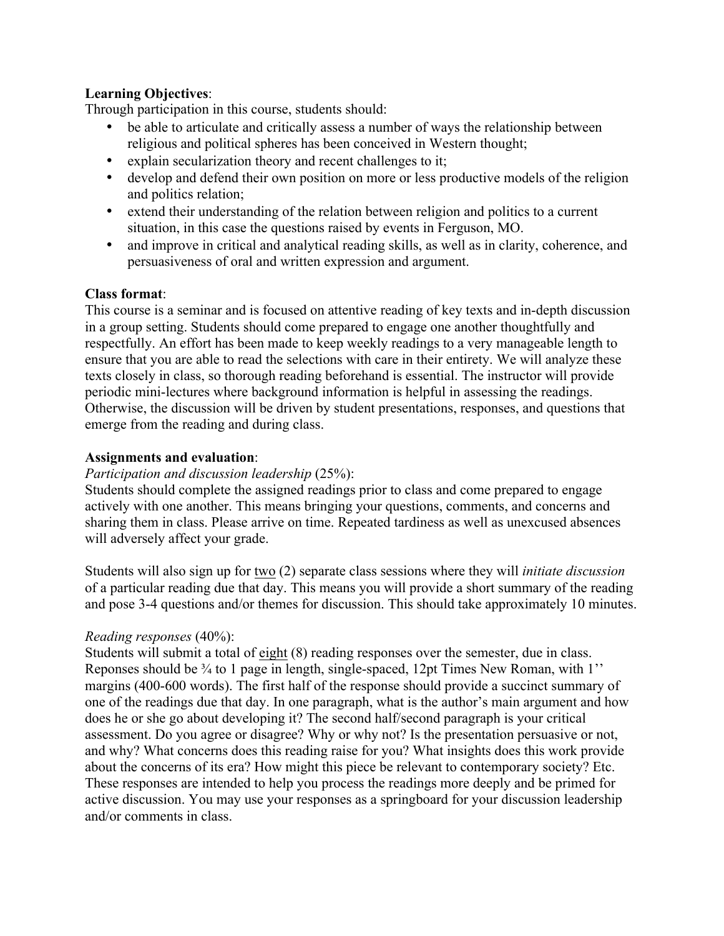# **Learning Objectives**:

Through participation in this course, students should:

- be able to articulate and critically assess a number of ways the relationship between religious and political spheres has been conceived in Western thought;
- explain secularization theory and recent challenges to it;
- develop and defend their own position on more or less productive models of the religion and politics relation;
- extend their understanding of the relation between religion and politics to a current situation, in this case the questions raised by events in Ferguson, MO.
- and improve in critical and analytical reading skills, as well as in clarity, coherence, and persuasiveness of oral and written expression and argument.

## **Class format**:

This course is a seminar and is focused on attentive reading of key texts and in-depth discussion in a group setting. Students should come prepared to engage one another thoughtfully and respectfully. An effort has been made to keep weekly readings to a very manageable length to ensure that you are able to read the selections with care in their entirety. We will analyze these texts closely in class, so thorough reading beforehand is essential. The instructor will provide periodic mini-lectures where background information is helpful in assessing the readings. Otherwise, the discussion will be driven by student presentations, responses, and questions that emerge from the reading and during class.

## **Assignments and evaluation**:

### *Participation and discussion leadership* (25%):

Students should complete the assigned readings prior to class and come prepared to engage actively with one another. This means bringing your questions, comments, and concerns and sharing them in class. Please arrive on time. Repeated tardiness as well as unexcused absences will adversely affect your grade.

Students will also sign up for two (2) separate class sessions where they will *initiate discussion* of a particular reading due that day. This means you will provide a short summary of the reading and pose 3-4 questions and/or themes for discussion. This should take approximately 10 minutes.

# *Reading responses* (40%):

Students will submit a total of eight (8) reading responses over the semester, due in class. Reponses should be  $\frac{3}{4}$  to 1 page in length, single-spaced, 12pt Times New Roman, with 1'' margins (400-600 words). The first half of the response should provide a succinct summary of one of the readings due that day. In one paragraph, what is the author's main argument and how does he or she go about developing it? The second half/second paragraph is your critical assessment. Do you agree or disagree? Why or why not? Is the presentation persuasive or not, and why? What concerns does this reading raise for you? What insights does this work provide about the concerns of its era? How might this piece be relevant to contemporary society? Etc. These responses are intended to help you process the readings more deeply and be primed for active discussion. You may use your responses as a springboard for your discussion leadership and/or comments in class.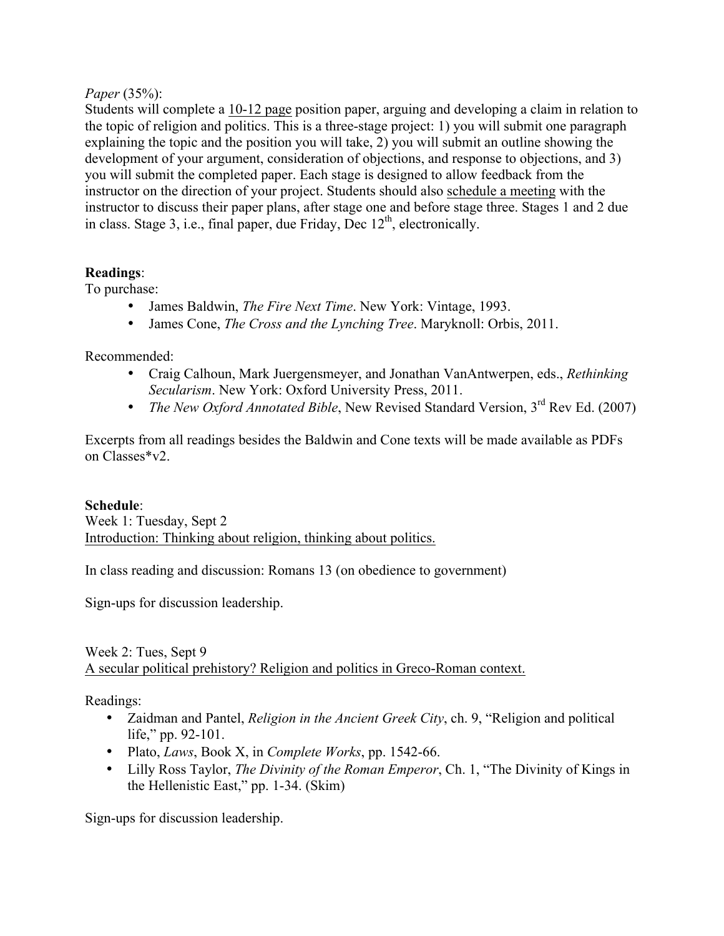## *Paper* (35%):

Students will complete a 10-12 page position paper, arguing and developing a claim in relation to the topic of religion and politics. This is a three-stage project: 1) you will submit one paragraph explaining the topic and the position you will take, 2) you will submit an outline showing the development of your argument, consideration of objections, and response to objections, and 3) you will submit the completed paper. Each stage is designed to allow feedback from the instructor on the direction of your project. Students should also schedule a meeting with the instructor to discuss their paper plans, after stage one and before stage three. Stages 1 and 2 due in class. Stage 3, i.e., final paper, due Friday, Dec  $12<sup>th</sup>$ , electronically.

## **Readings**:

To purchase:

- James Baldwin, *The Fire Next Time*. New York: Vintage, 1993.
- James Cone, *The Cross and the Lynching Tree*. Maryknoll: Orbis, 2011.

Recommended:

- Craig Calhoun, Mark Juergensmeyer, and Jonathan VanAntwerpen, eds., *Rethinking Secularism*. New York: Oxford University Press, 2011.
- *The New Oxford Annotated Bible*, New Revised Standard Version, 3<sup>rd</sup> Rev Ed. (2007)

Excerpts from all readings besides the Baldwin and Cone texts will be made available as PDFs on Classes\*v2.

### **Schedule**:

Week 1: Tuesday, Sept 2 Introduction: Thinking about religion, thinking about politics.

In class reading and discussion: Romans 13 (on obedience to government)

Sign-ups for discussion leadership.

## Week 2: Tues, Sept 9 A secular political prehistory? Religion and politics in Greco-Roman context.

Readings:

- Zaidman and Pantel, *Religion in the Ancient Greek City*, ch. 9, "Religion and political life," pp. 92-101.
- Plato, *Laws*, Book X, in *Complete Works*, pp. 1542-66.
- Lilly Ross Taylor, *The Divinity of the Roman Emperor*, Ch. 1, "The Divinity of Kings in the Hellenistic East," pp. 1-34. (Skim)

Sign-ups for discussion leadership.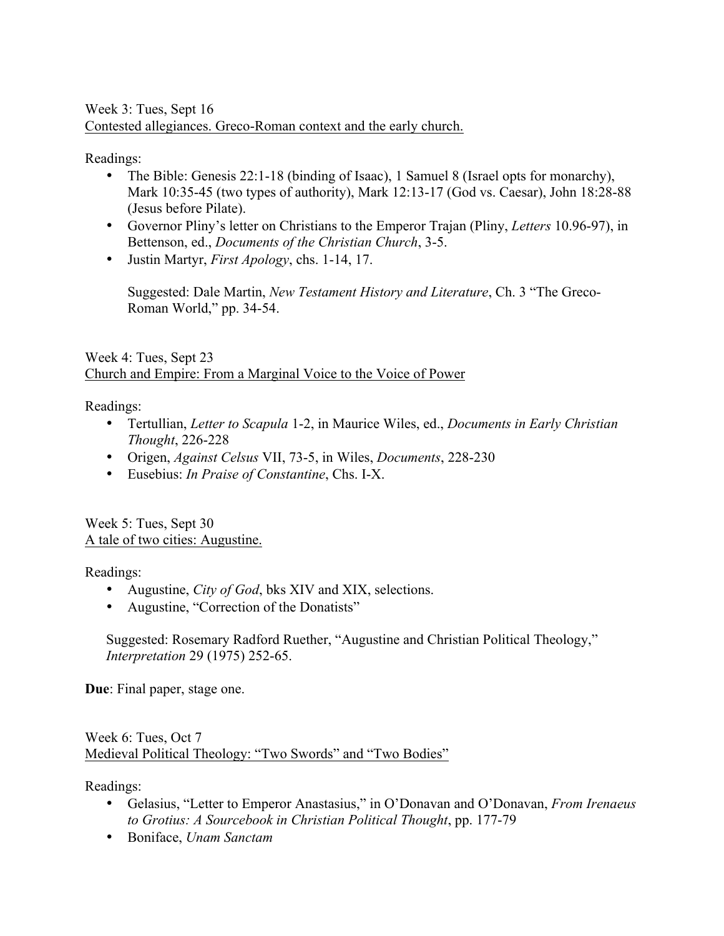## Week 3: Tues, Sept 16 Contested allegiances. Greco-Roman context and the early church.

Readings:

- The Bible: Genesis 22:1-18 (binding of Isaac), 1 Samuel 8 (Israel opts for monarchy), Mark 10:35-45 (two types of authority), Mark 12:13-17 (God vs. Caesar), John 18:28-88 (Jesus before Pilate).
- Governor Pliny's letter on Christians to the Emperor Trajan (Pliny, *Letters* 10.96-97), in Bettenson, ed., *Documents of the Christian Church*, 3-5.
- Justin Martyr, *First Apology*, chs. 1-14, 17.

Suggested: Dale Martin, *New Testament History and Literature*, Ch. 3 "The Greco-Roman World," pp. 34-54.

Week 4: Tues, Sept 23 Church and Empire: From a Marginal Voice to the Voice of Power

Readings:

- Tertullian, *Letter to Scapula* 1-2, in Maurice Wiles, ed., *Documents in Early Christian Thought*, 226-228
- Origen, *Against Celsus* VII, 73-5, in Wiles, *Documents*, 228-230
- Eusebius: *In Praise of Constantine*, Chs. I-X.

Week 5: Tues, Sept 30 A tale of two cities: Augustine.

Readings:

- Augustine, *City of God*, bks XIV and XIX, selections.
- Augustine, "Correction of the Donatists"

Suggested: Rosemary Radford Ruether, "Augustine and Christian Political Theology," *Interpretation* 29 (1975) 252-65.

**Due**: Final paper, stage one.

Week 6: Tues, Oct 7 Medieval Political Theology: "Two Swords" and "Two Bodies"

Readings:

- Gelasius, "Letter to Emperor Anastasius," in O'Donavan and O'Donavan, *From Irenaeus to Grotius: A Sourcebook in Christian Political Thought*, pp. 177-79
- Boniface, *Unam Sanctam*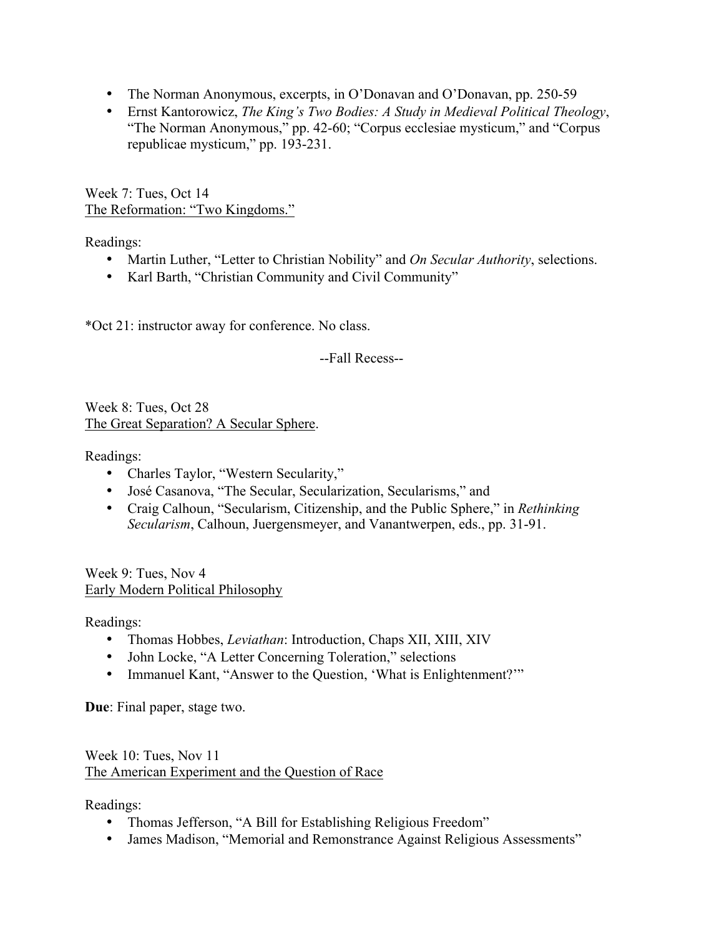- The Norman Anonymous, excerpts, in O'Donavan and O'Donavan, pp. 250-59
- Ernst Kantorowicz, *The King's Two Bodies: A Study in Medieval Political Theology*, "The Norman Anonymous," pp. 42-60; "Corpus ecclesiae mysticum," and "Corpus republicae mysticum," pp. 193-231.

Week 7: Tues, Oct 14 The Reformation: "Two Kingdoms."

Readings:

- Martin Luther, "Letter to Christian Nobility" and *On Secular Authority*, selections.
- Karl Barth, "Christian Community and Civil Community"

\*Oct 21: instructor away for conference. No class.

--Fall Recess--

Week 8: Tues, Oct 28 The Great Separation? A Secular Sphere.

Readings:

- Charles Taylor, "Western Secularity,"
- José Casanova, "The Secular, Secularization, Secularisms," and
- Craig Calhoun, "Secularism, Citizenship, and the Public Sphere," in *Rethinking Secularism*, Calhoun, Juergensmeyer, and Vanantwerpen, eds., pp. 31-91.

Week 9: Tues, Nov 4 Early Modern Political Philosophy

Readings:

- Thomas Hobbes, *Leviathan*: Introduction, Chaps XII, XIII, XIV
- John Locke, "A Letter Concerning Toleration," selections
- Immanuel Kant, "Answer to the Question, 'What is Enlightenment?'"

**Due**: Final paper, stage two.

Week 10: Tues, Nov 11 The American Experiment and the Question of Race

Readings:

- Thomas Jefferson, "A Bill for Establishing Religious Freedom"
- James Madison, "Memorial and Remonstrance Against Religious Assessments"